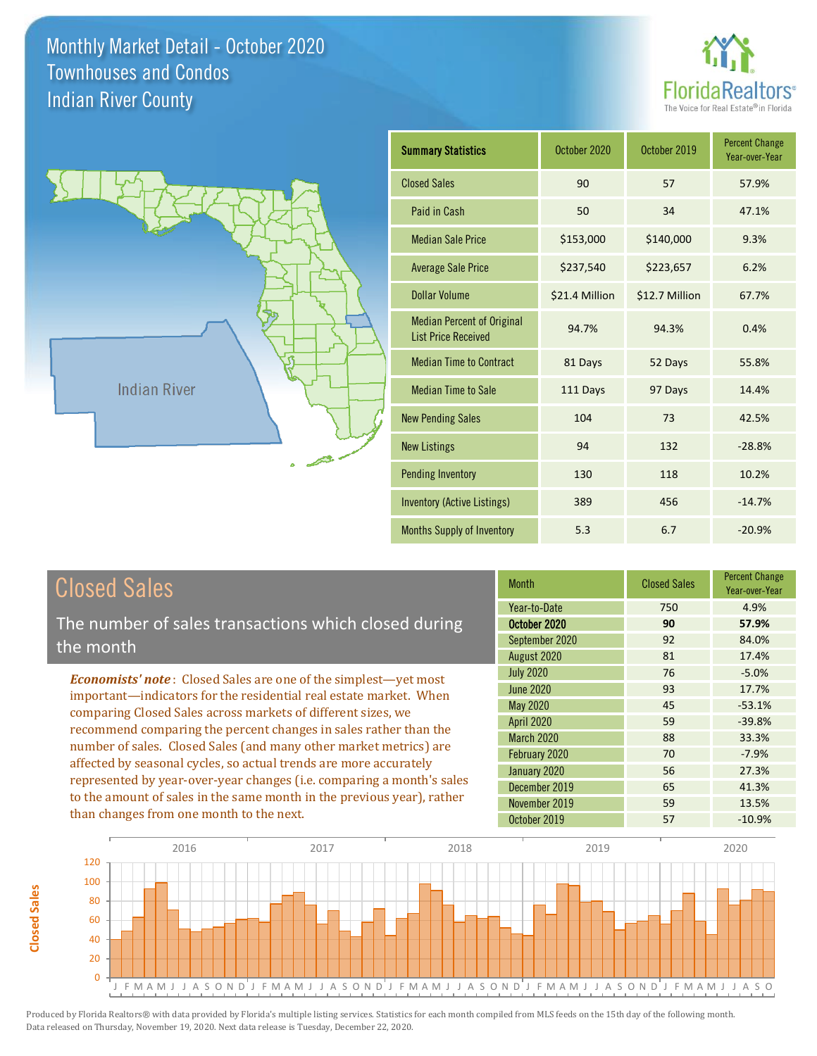



| <b>Summary Statistics</b>                                       | October 2020   | October 2019   | <b>Percent Change</b><br>Year-over-Year |
|-----------------------------------------------------------------|----------------|----------------|-----------------------------------------|
| <b>Closed Sales</b>                                             | 90             | 57             | 57.9%                                   |
| Paid in Cash                                                    | 50             | 34             | 47.1%                                   |
| <b>Median Sale Price</b>                                        | \$153,000      | \$140,000      | 9.3%                                    |
| <b>Average Sale Price</b>                                       | \$237,540      | \$223,657      | 6.2%                                    |
| Dollar Volume                                                   | \$21.4 Million | \$12.7 Million | 67.7%                                   |
| <b>Median Percent of Original</b><br><b>List Price Received</b> | 94.7%          | 94.3%          | 0.4%                                    |
| <b>Median Time to Contract</b>                                  | 81 Days        | 52 Days        | 55.8%                                   |
| <b>Median Time to Sale</b>                                      | 111 Days       | 97 Days        | 14.4%                                   |
| <b>New Pending Sales</b>                                        | 104            | 73             | 42.5%                                   |
| <b>New Listings</b>                                             | 94             | 132            | $-28.8%$                                |
| <b>Pending Inventory</b>                                        | 130            | 118            | 10.2%                                   |
| Inventory (Active Listings)                                     | 389            | 456            | $-14.7%$                                |
| <b>Months Supply of Inventory</b>                               | 5.3            | 6.7            | $-20.9%$                                |

## Closed Sales

**Closed Sales**

**Closed Sales** 

The number of sales transactions which closed during the month

*Economists' note* : Closed Sales are one of the simplest—yet most important—indicators for the residential real estate market. When comparing Closed Sales across markets of different sizes, we recommend comparing the percent changes in sales rather than the number of sales. Closed Sales (and many other market metrics) are affected by seasonal cycles, so actual trends are more accurately represented by year-over-year changes (i.e. comparing a month's sales to the amount of sales in the same month in the previous year), rather than changes from one month to the next.

| <b>Month</b>      | <b>Closed Sales</b> | <b>Percent Change</b><br>Year-over-Year |
|-------------------|---------------------|-----------------------------------------|
| Year-to-Date      | 750                 | 4.9%                                    |
| October 2020      | 90                  | 57.9%                                   |
| September 2020    | 92                  | 84.0%                                   |
| August 2020       | 81                  | 17.4%                                   |
| <b>July 2020</b>  | 76                  | $-5.0%$                                 |
| <b>June 2020</b>  | 93                  | 17.7%                                   |
| May 2020          | 45                  | $-53.1%$                                |
| <b>April 2020</b> | 59                  | $-39.8%$                                |
| March 2020        | 88                  | 33.3%                                   |
| February 2020     | 70                  | $-7.9%$                                 |
| January 2020      | 56                  | 27.3%                                   |
| December 2019     | 65                  | 41.3%                                   |
| November 2019     | 59                  | 13.5%                                   |
| October 2019      | 57                  | $-10.9%$                                |

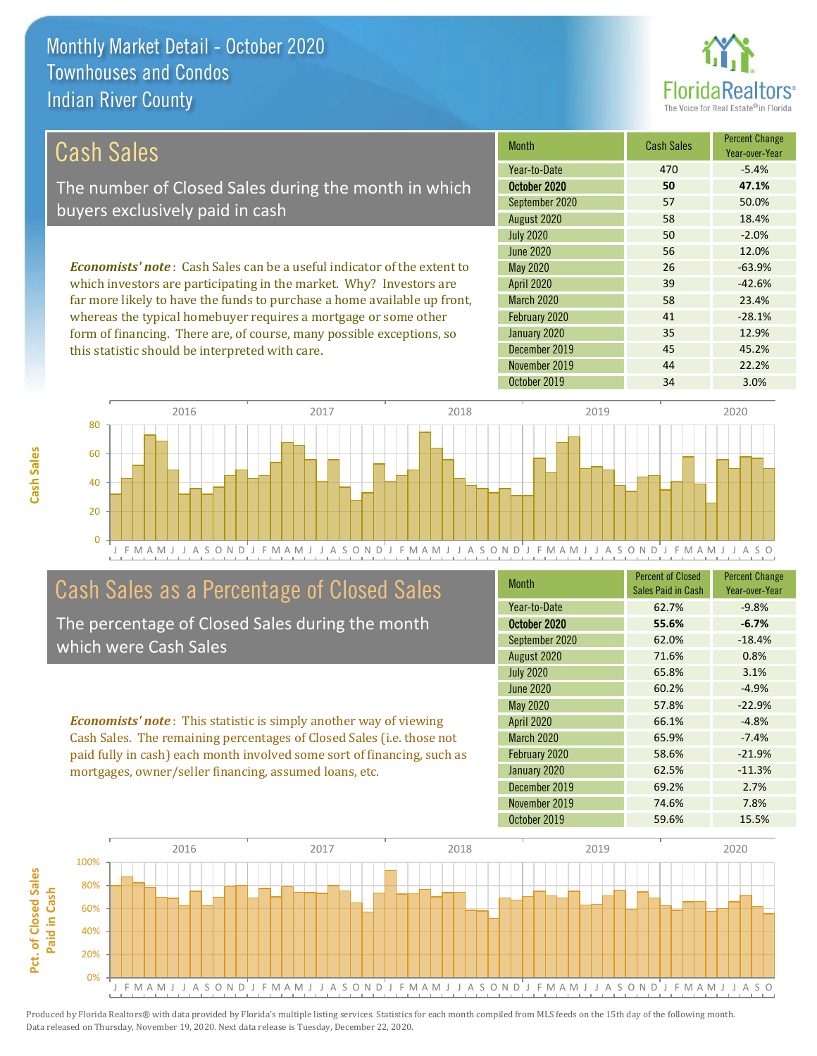this statistic should be interpreted with care.



45 45.2%

| Cash Sales                                                                     | <b>Month</b>      | <b>Cash Sales</b> | <b>Percent Change</b><br>Year-over-Year |
|--------------------------------------------------------------------------------|-------------------|-------------------|-----------------------------------------|
|                                                                                | Year-to-Date      | 470               | $-5.4%$                                 |
| The number of Closed Sales during the month in which                           | October 2020      | 50                | 47.1%                                   |
| buyers exclusively paid in cash                                                | September 2020    | 57                | 50.0%                                   |
|                                                                                | August 2020       | 58                | 18.4%                                   |
|                                                                                | <b>July 2020</b>  | 50                | $-2.0%$                                 |
|                                                                                | June 2020         | 56                | 12.0%                                   |
| <b>Economists' note:</b> Cash Sales can be a useful indicator of the extent to | May 2020          | 26                | $-63.9%$                                |
| which investors are participating in the market. Why? Investors are            | <b>April 2020</b> | 39                | $-42.6%$                                |
| far more likely to have the funds to purchase a home available up front,       | <b>March 2020</b> | 58                | 23.4%                                   |
| whereas the typical homebuyer requires a mortgage or some other                | February 2020     | 41                | $-28.1%$                                |
| form of financing. There are, of course, many possible exceptions, so          | January 2020      | 35                | 12.9%                                   |

J F M A M J J A S O N D J F M A M J J A S O N D J F M A M J J A S O N D J F M A M J J A S O N D J F M A M J J A S O 0 20 40 60 80 2016 2017 2018 2019 2020

## Cash Sales as a Percentage of Closed Sales

The percentage of Closed Sales during the month which were Cash Sales

*Economists' note* : This statistic is simply another way of viewing Cash Sales. The remaining percentages of Closed Sales (i.e. those not paid fully in cash) each month involved some sort of financing, such as mortgages, owner/seller financing, assumed loans, etc.

| <b>Month</b>      | <b>Percent of Closed</b><br>Sales Paid in Cash | <b>Percent Change</b><br>Year-over-Year |
|-------------------|------------------------------------------------|-----------------------------------------|
| Year-to-Date      | 62.7%                                          | $-9.8%$                                 |
| October 2020      | 55.6%                                          | $-6.7%$                                 |
| September 2020    | 62.0%                                          | $-18.4%$                                |
| August 2020       | 71.6%                                          | 0.8%                                    |
| <b>July 2020</b>  | 65.8%                                          | 3.1%                                    |
| <b>June 2020</b>  | 60.2%                                          | $-4.9%$                                 |
| <b>May 2020</b>   | 57.8%                                          | $-22.9%$                                |
| April 2020        | 66.1%                                          | $-4.8%$                                 |
| <b>March 2020</b> | 65.9%                                          | $-7.4%$                                 |
| February 2020     | 58.6%                                          | $-21.9%$                                |
| January 2020      | 62.5%                                          | $-11.3%$                                |
| December 2019     | 69.2%                                          | 2.7%                                    |
| November 2019     | 74.6%                                          | 7.8%                                    |
| October 2019      | 59.6%                                          | 15.5%                                   |

November 2019 44 22.2%

December 2019

October 2019 34 3.0%

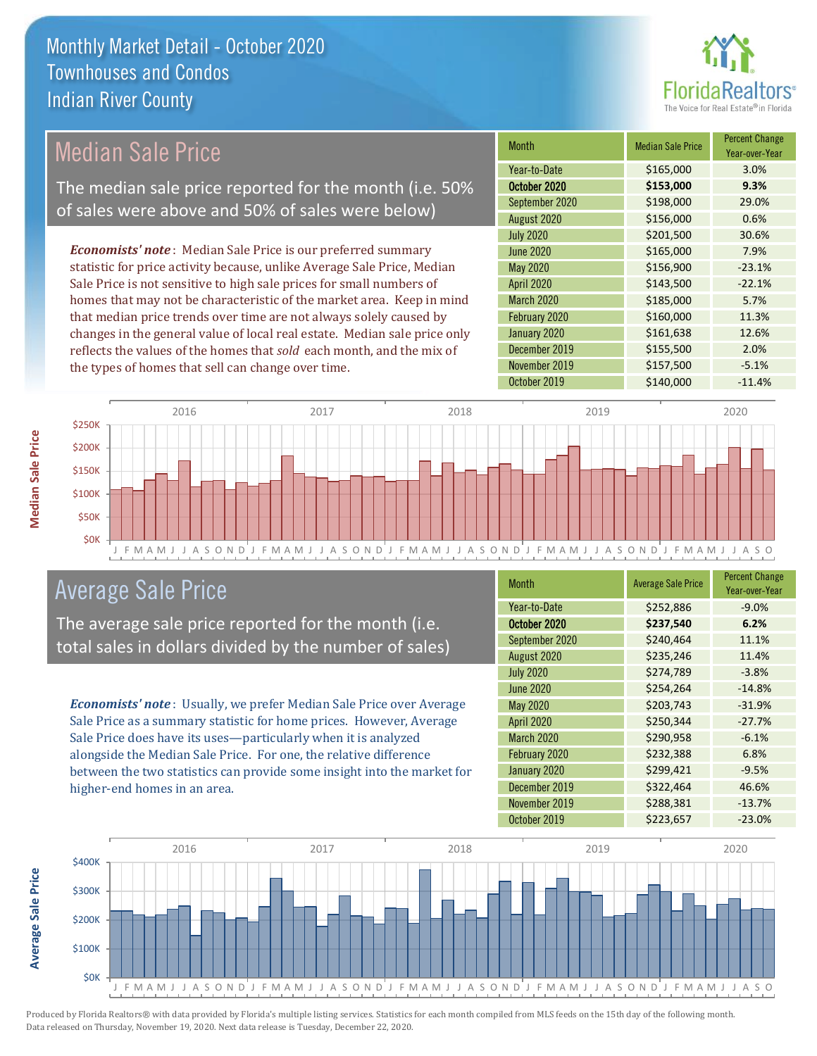

## Median Sale Price

The median sale price reported for the month (i.e. 50% of sales were above and 50% of sales were below)

*Economists' note* : Median Sale Price is our preferred summary statistic for price activity because, unlike Average Sale Price, Median Sale Price is not sensitive to high sale prices for small numbers of homes that may not be characteristic of the market area. Keep in mind that median price trends over time are not always solely caused by changes in the general value of local real estate. Median sale price only reflects the values of the homes that *sold* each month, and the mix of the types of homes that sell can change over time.

| <b>Month</b>     | <b>Median Sale Price</b> | <b>Percent Change</b><br>Year-over-Year |
|------------------|--------------------------|-----------------------------------------|
| Year-to-Date     | \$165,000                | 3.0%                                    |
| October 2020     | \$153,000                | 9.3%                                    |
| September 2020   | \$198,000                | 29.0%                                   |
| August 2020      | \$156,000                | 0.6%                                    |
| <b>July 2020</b> | \$201,500                | 30.6%                                   |
| <b>June 2020</b> | \$165,000                | 7.9%                                    |
| May 2020         | \$156,900                | $-23.1%$                                |
| April 2020       | \$143,500                | $-22.1%$                                |
| March 2020       | \$185,000                | 5.7%                                    |
| February 2020    | \$160,000                | 11.3%                                   |
| January 2020     | \$161,638                | 12.6%                                   |
| December 2019    | \$155,500                | 2.0%                                    |
| November 2019    | \$157,500                | $-5.1%$                                 |
| October 2019     | \$140,000                | $-11.4%$                                |



### Average Sale Price

The average sale price reported for the month (i.e. total sales in dollars divided by the number of sales)

*Economists' note* : Usually, we prefer Median Sale Price over Average Sale Price as a summary statistic for home prices. However, Average Sale Price does have its uses—particularly when it is analyzed alongside the Median Sale Price. For one, the relative difference between the two statistics can provide some insight into the market for higher-end homes in an area.

| Month             | <b>Average Sale Price</b> | <b>Percent Change</b><br>Year-over-Year |
|-------------------|---------------------------|-----------------------------------------|
| Year-to-Date      | \$252,886                 | $-9.0%$                                 |
| October 2020      | \$237,540                 | 6.2%                                    |
| September 2020    | \$240,464                 | 11.1%                                   |
| August 2020       | \$235,246                 | 11.4%                                   |
| <b>July 2020</b>  | \$274,789                 | $-3.8%$                                 |
| <b>June 2020</b>  | \$254,264                 | $-14.8%$                                |
| <b>May 2020</b>   | \$203,743                 | $-31.9%$                                |
| April 2020        | \$250,344                 | $-27.7%$                                |
| <b>March 2020</b> | \$290,958                 | $-6.1%$                                 |
| February 2020     | \$232,388                 | 6.8%                                    |
| January 2020      | \$299,421                 | $-9.5%$                                 |
| December 2019     | \$322,464                 | 46.6%                                   |
| November 2019     | \$288,381                 | $-13.7%$                                |
| October 2019      | \$223,657                 | $-23.0%$                                |



Produced by Florida Realtors® with data provided by Florida's multiple listing services. Statistics for each month compiled from MLS feeds on the 15th day of the following month. Data released on Thursday, November 19, 2020. Next data release is Tuesday, December 22, 2020.

**Average Sale Price**

**Average Sale Price**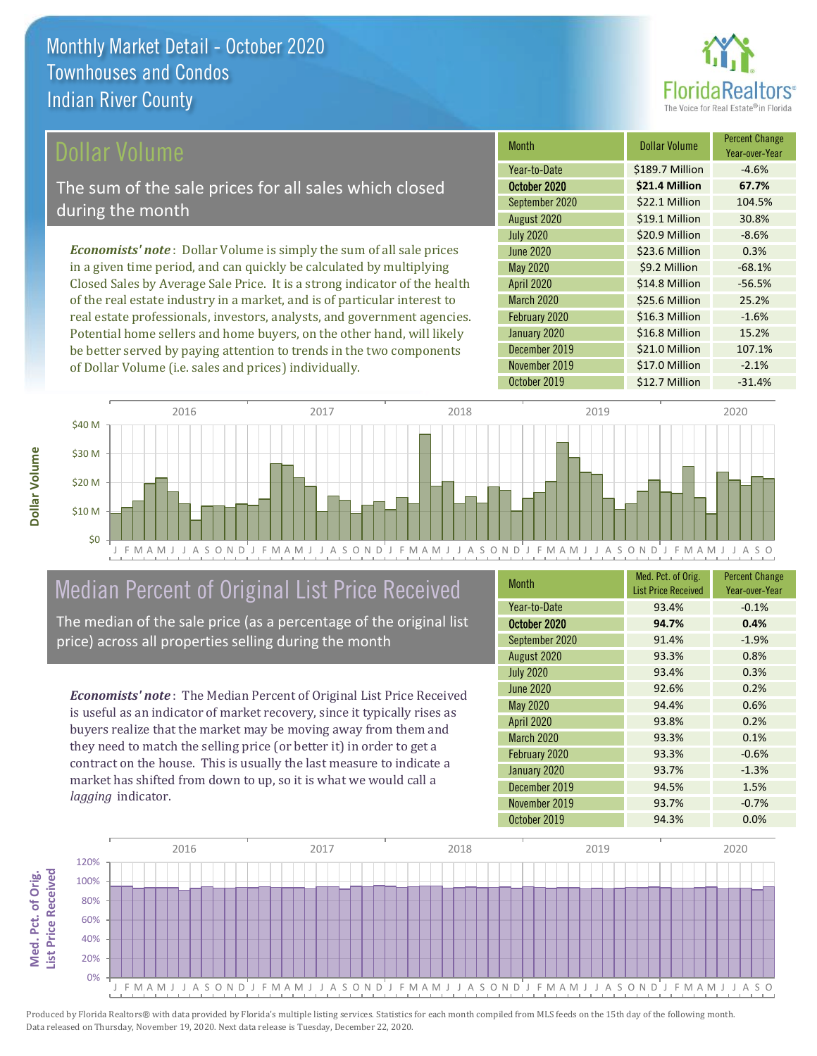

#### ollar Volume

The sum of the sale prices for all sales which closed during the month

*Economists' note* : Dollar Volume is simply the sum of all sale prices in a given time period, and can quickly be calculated by multiplying Closed Sales by Average Sale Price. It is a strong indicator of the health of the real estate industry in a market, and is of particular interest to real estate professionals, investors, analysts, and government agencies. Potential home sellers and home buyers, on the other hand, will likely be better served by paying attention to trends in the two components of Dollar Volume (i.e. sales and prices) individually.

| <b>Month</b>      | <b>Dollar Volume</b> | <b>Percent Change</b><br>Year-over-Year |
|-------------------|----------------------|-----------------------------------------|
| Year-to-Date      | \$189.7 Million      | $-4.6%$                                 |
| October 2020      | \$21.4 Million       | 67.7%                                   |
| September 2020    | \$22.1 Million       | 104.5%                                  |
| August 2020       | \$19.1 Million       | 30.8%                                   |
| <b>July 2020</b>  | \$20.9 Million       | $-8.6%$                                 |
| <b>June 2020</b>  | \$23.6 Million       | 0.3%                                    |
| <b>May 2020</b>   | \$9.2 Million        | $-68.1%$                                |
| <b>April 2020</b> | \$14.8 Million       | $-56.5%$                                |
| <b>March 2020</b> | \$25.6 Million       | 25.2%                                   |
| February 2020     | \$16.3 Million       | $-1.6%$                                 |
| January 2020      | \$16.8 Million       | 15.2%                                   |
| December 2019     | \$21.0 Million       | 107.1%                                  |
| November 2019     | \$17.0 Million       | $-2.1%$                                 |
| October 2019      | \$12.7 Million       | $-31.4%$                                |



## Median Percent of Original List Price Received

The median of the sale price (as a percentage of the original list price) across all properties selling during the month

*Economists' note* : The Median Percent of Original List Price Received is useful as an indicator of market recovery, since it typically rises as buyers realize that the market may be moving away from them and they need to match the selling price (or better it) in order to get a contract on the house. This is usually the last measure to indicate a market has shifted from down to up, so it is what we would call a *lagging* indicator.

| <b>Month</b>      | Med. Pct. of Orig.<br><b>List Price Received</b> | <b>Percent Change</b><br>Year-over-Year |
|-------------------|--------------------------------------------------|-----------------------------------------|
| Year-to-Date      | 93.4%                                            | $-0.1%$                                 |
| October 2020      | 94.7%                                            | 0.4%                                    |
| September 2020    | 91.4%                                            | $-1.9%$                                 |
| August 2020       | 93.3%                                            | 0.8%                                    |
| <b>July 2020</b>  | 93.4%                                            | 0.3%                                    |
| <b>June 2020</b>  | 92.6%                                            | 0.2%                                    |
| <b>May 2020</b>   | 94.4%                                            | 0.6%                                    |
| <b>April 2020</b> | 93.8%                                            | 0.2%                                    |
| <b>March 2020</b> | 93.3%                                            | 0.1%                                    |
| February 2020     | 93.3%                                            | $-0.6%$                                 |
| January 2020      | 93.7%                                            | $-1.3%$                                 |
| December 2019     | 94.5%                                            | 1.5%                                    |
| November 2019     | 93.7%                                            | $-0.7%$                                 |
| October 2019      | 94.3%                                            | 0.0%                                    |

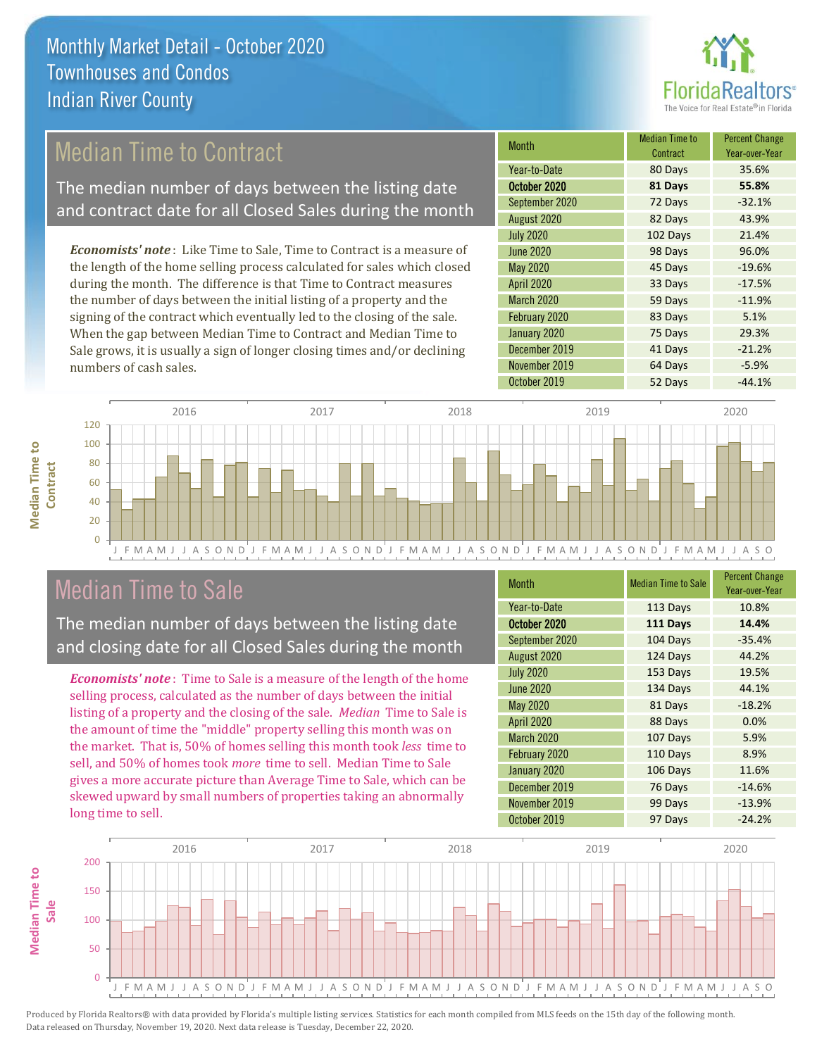

## Median Time to Contract

The median number of days between the listing date and contract date for all Closed Sales during the month

*Economists' note* : Like Time to Sale, Time to Contract is a measure of the length of the home selling process calculated for sales which closed during the month. The difference is that Time to Contract measures the number of days between the initial listing of a property and the signing of the contract which eventually led to the closing of the sale. When the gap between Median Time to Contract and Median Time to Sale grows, it is usually a sign of longer closing times and/or declining numbers of cash sales.

| Month            | <b>Median Time to</b><br>Contract | <b>Percent Change</b><br>Year-over-Year |
|------------------|-----------------------------------|-----------------------------------------|
| Year-to-Date     | 80 Days                           | 35.6%                                   |
| October 2020     | 81 Days                           | 55.8%                                   |
| September 2020   | 72 Days                           | $-32.1%$                                |
| August 2020      | 82 Days                           | 43.9%                                   |
| <b>July 2020</b> | 102 Days                          | 21.4%                                   |
| <b>June 2020</b> | 98 Days                           | 96.0%                                   |
| <b>May 2020</b>  | 45 Days                           | $-19.6%$                                |
| April 2020       | 33 Days                           | $-17.5%$                                |
| March 2020       | 59 Days                           | $-11.9%$                                |
| February 2020    | 83 Days                           | 5.1%                                    |
| January 2020     | 75 Days                           | 29.3%                                   |
| December 2019    | 41 Days                           | $-21.2%$                                |
| November 2019    | 64 Days                           | $-5.9%$                                 |
| October 2019     | 52 Days                           | $-44.1%$                                |



## Median Time to Sale

**Median Time to Contract**

**Median Time to** 

The median number of days between the listing date and closing date for all Closed Sales during the month

*Economists' note* : Time to Sale is a measure of the length of the home selling process, calculated as the number of days between the initial listing of a property and the closing of the sale. *Median* Time to Sale is the amount of time the "middle" property selling this month was on the market. That is, 50% of homes selling this month took *less* time to sell, and 50% of homes took *more* time to sell. Median Time to Sale gives a more accurate picture than Average Time to Sale, which can be skewed upward by small numbers of properties taking an abnormally long time to sell.

| <b>Month</b>      | <b>Median Time to Sale</b> | <b>Percent Change</b><br>Year-over-Year |
|-------------------|----------------------------|-----------------------------------------|
| Year-to-Date      | 113 Days                   | 10.8%                                   |
| October 2020      | 111 Days                   | 14.4%                                   |
| September 2020    | 104 Days                   | $-35.4%$                                |
| August 2020       | 124 Days                   | 44.2%                                   |
| <b>July 2020</b>  | 153 Days                   | 19.5%                                   |
| <b>June 2020</b>  | 134 Days                   | 44.1%                                   |
| <b>May 2020</b>   | 81 Days                    | $-18.2%$                                |
| April 2020        | 88 Days                    | 0.0%                                    |
| <b>March 2020</b> | 107 Days                   | 5.9%                                    |
| February 2020     | 110 Days                   | 8.9%                                    |
| January 2020      | 106 Days                   | 11.6%                                   |
| December 2019     | 76 Days                    | $-14.6%$                                |
| November 2019     | 99 Days                    | $-13.9%$                                |
| October 2019      | 97 Days                    | $-24.2%$                                |

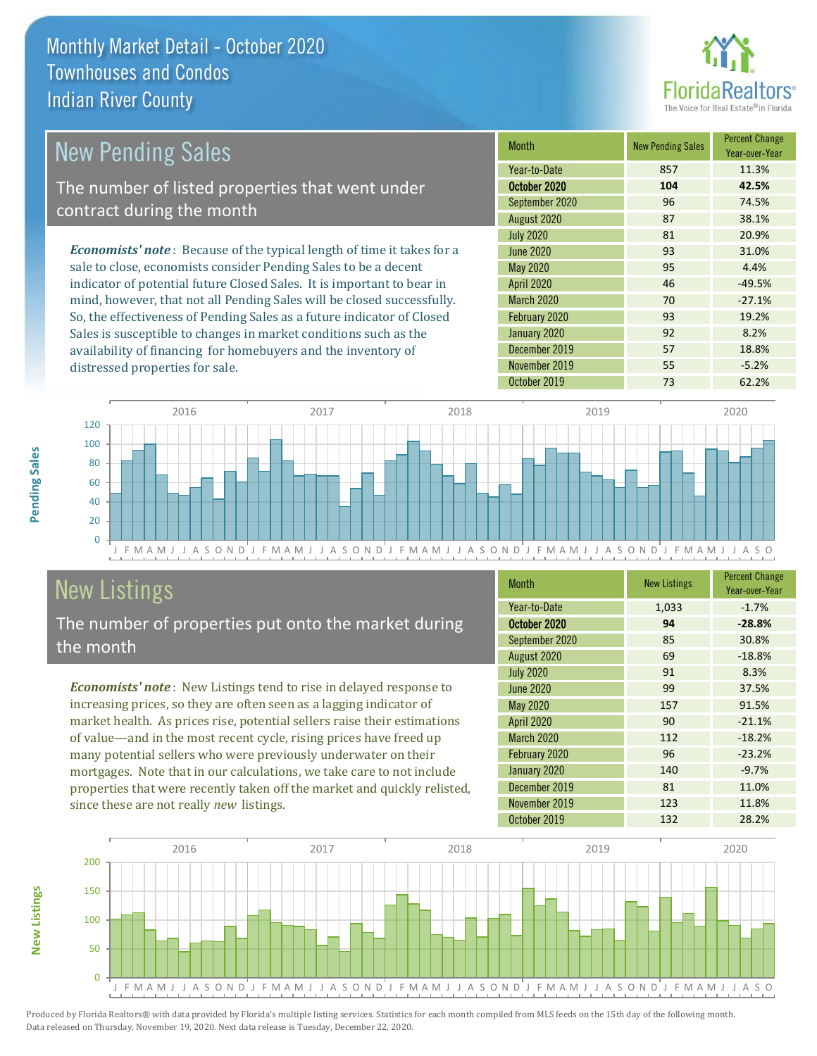

| New Pending Sales                                                              | <b>Month</b>      | <b>New Pending Sales</b> | <b>Percent Change</b><br>Year-over-Year |
|--------------------------------------------------------------------------------|-------------------|--------------------------|-----------------------------------------|
|                                                                                | Year-to-Date      | 857                      | 11.3%                                   |
| The number of listed properties that went under                                | October 2020      | 104                      | 42.5%                                   |
| contract during the month                                                      | September 2020    | 96                       | 74.5%                                   |
|                                                                                | August 2020       | 87                       | 38.1%                                   |
|                                                                                | <b>July 2020</b>  | 81                       | 20.9%                                   |
| <b>Economists' note</b> : Because of the typical length of time it takes for a | June 2020         | 93                       | 31.0%                                   |
| sale to close, economists consider Pending Sales to be a decent                | May 2020          | 95                       | 4.4%                                    |
| indicator of potential future Closed Sales. It is important to bear in         | <b>April 2020</b> | 46                       | $-49.5%$                                |
| mind, however, that not all Pending Sales will be closed successfully.         | March 2020        | 70                       | $-27.1%$                                |
| So, the effectiveness of Pending Sales as a future indicator of Closed         | February 2020     | 93                       | 19.2%                                   |
| Sales is susceptible to changes in market conditions such as the               | January 2020      | 92                       | 8.2%                                    |



## New Listings

distressed properties for sale.

The number of properties put onto the market during the month

availability of financing for homebuyers and the inventory of

*Economists' note* : New Listings tend to rise in delayed response to increasing prices, so they are often seen as a lagging indicator of market health. As prices rise, potential sellers raise their estimations of value—and in the most recent cycle, rising prices have freed up many potential sellers who were previously underwater on their mortgages. Note that in our calculations, we take care to not include properties that were recently taken off the market and quickly relisted, since these are not really *new* listings.

| <b>Month</b>      | <b>New Listings</b> | <b>Percent Change</b><br>Year-over-Year |
|-------------------|---------------------|-----------------------------------------|
| Year-to-Date      | 1,033               | $-1.7%$                                 |
| October 2020      | 94                  | $-28.8%$                                |
| September 2020    | 85                  | 30.8%                                   |
| August 2020       | 69                  | $-18.8%$                                |
| <b>July 2020</b>  | 91                  | 8.3%                                    |
| <b>June 2020</b>  | 99                  | 37.5%                                   |
| <b>May 2020</b>   | 157                 | 91.5%                                   |
| <b>April 2020</b> | 90                  | $-21.1%$                                |
| March 2020        | 112                 | $-18.2%$                                |
| February 2020     | 96                  | $-23.2%$                                |
| January 2020      | 140                 | $-9.7%$                                 |
| December 2019     | 81                  | 11.0%                                   |
| November 2019     | 123                 | 11.8%                                   |
| October 2019      | 132                 | 28.2%                                   |

December 2019 **57** 18.8% November 2019 **55** 55 -5.2%



**Pending Sales**

Pending Sales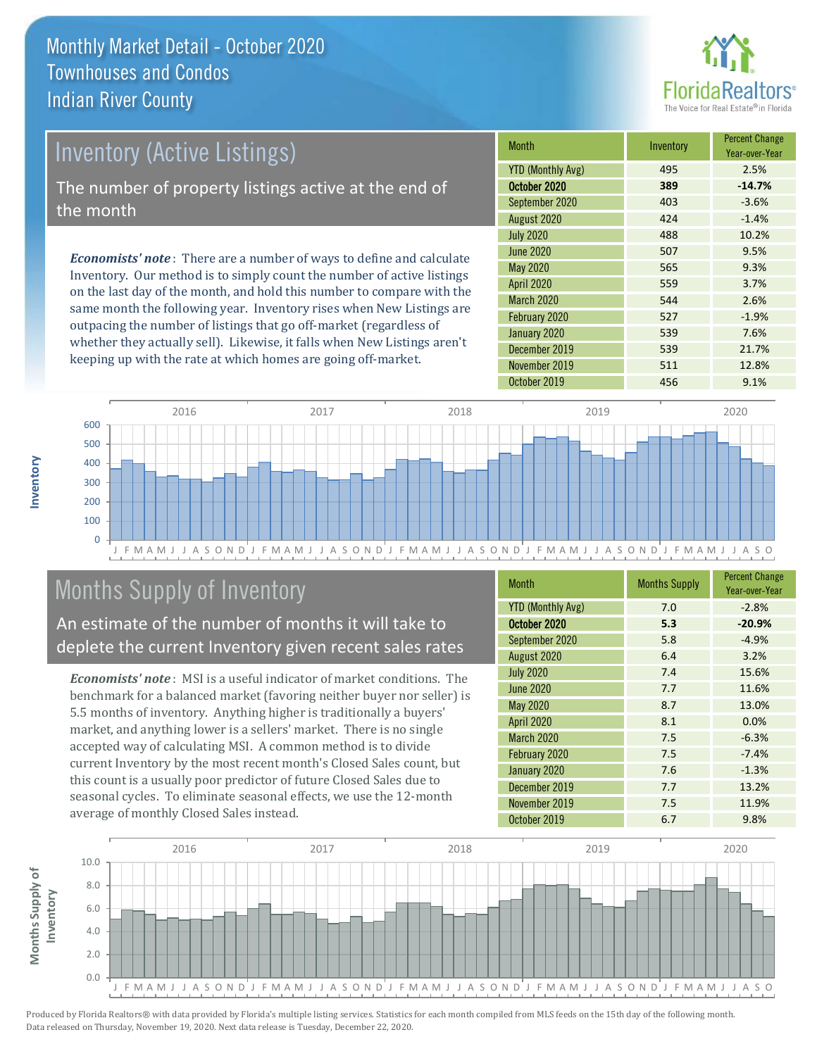

# *Economists' note* : There are a number of ways to define and calculate Inventory (Active Listings) The number of property listings active at the end of the month

Inventory. Our method is to simply count the number of active listings on the last day of the month, and hold this number to compare with the same month the following year. Inventory rises when New Listings are outpacing the number of listings that go off-market (regardless of whether they actually sell). Likewise, it falls when New Listings aren't keeping up with the rate at which homes are going off-market.

| Month                    | Inventory | <b>Percent Change</b><br>Year-over-Year |
|--------------------------|-----------|-----------------------------------------|
| <b>YTD (Monthly Avg)</b> | 495       | 2.5%                                    |
| October 2020             | 389       | $-14.7%$                                |
| September 2020           | 403       | $-3.6%$                                 |
| August 2020              | 424       | $-1.4%$                                 |
| <b>July 2020</b>         | 488       | 10.2%                                   |
| <b>June 2020</b>         | 507       | 9.5%                                    |
| May 2020                 | 565       | 9.3%                                    |
| <b>April 2020</b>        | 559       | 3.7%                                    |
| March 2020               | 544       | 2.6%                                    |
| February 2020            | 527       | $-1.9%$                                 |
| January 2020             | 539       | 7.6%                                    |
| December 2019            | 539       | 21.7%                                   |
| November 2019            | 511       | 12.8%                                   |
| October 2019             | 456       | 9.1%                                    |



## Months Supply of Inventory

An estimate of the number of months it will take to deplete the current Inventory given recent sales rates

*Economists' note* : MSI is a useful indicator of market conditions. The benchmark for a balanced market (favoring neither buyer nor seller) is 5.5 months of inventory. Anything higher is traditionally a buyers' market, and anything lower is a sellers' market. There is no single accepted way of calculating MSI. A common method is to divide current Inventory by the most recent month's Closed Sales count, but this count is a usually poor predictor of future Closed Sales due to seasonal cycles. To eliminate seasonal effects, we use the 12-month average of monthly Closed Sales instead.

| <b>Month</b>             | <b>Months Supply</b> | <b>Percent Change</b><br>Year-over-Year |
|--------------------------|----------------------|-----------------------------------------|
| <b>YTD (Monthly Avg)</b> | 7.0                  | $-2.8%$                                 |
| October 2020             | 5.3                  | $-20.9%$                                |
| September 2020           | 5.8                  | $-4.9%$                                 |
| August 2020              | 6.4                  | 3.2%                                    |
| <b>July 2020</b>         | 7.4                  | 15.6%                                   |
| <b>June 2020</b>         | 7.7                  | 11.6%                                   |
| <b>May 2020</b>          | 8.7                  | 13.0%                                   |
| <b>April 2020</b>        | 8.1                  | 0.0%                                    |
| <b>March 2020</b>        | 7.5                  | $-6.3%$                                 |
| February 2020            | 7.5                  | $-7.4%$                                 |
| January 2020             | 7.6                  | $-1.3%$                                 |
| December 2019            | 7.7                  | 13.2%                                   |
| November 2019            | 7.5                  | 11.9%                                   |
| October 2019             | 6.7                  | 9.8%                                    |

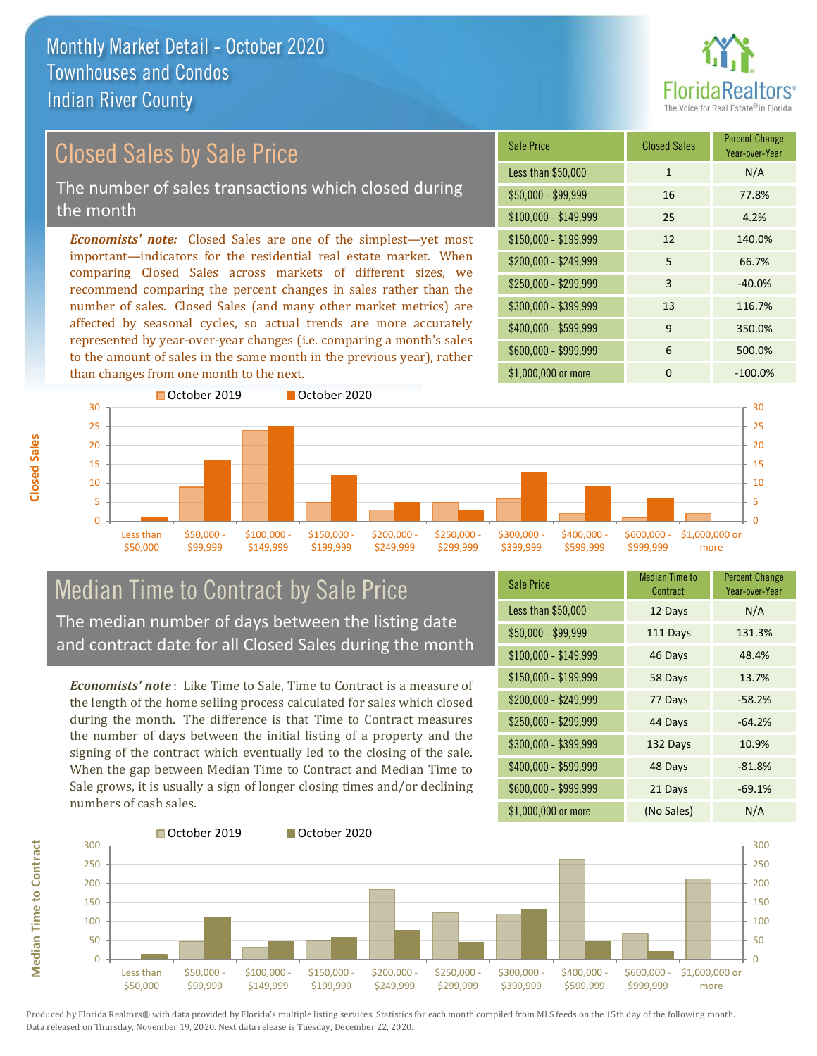

Year-over-Year

#### \$100,000 - \$149,999 25 4.2% Sale Price Closed Sales Percent Change Less than \$50,000 1 1 N/A \$50,000 - \$99,999 16 77.8% \$150,000 - \$199,999 12 140.0% \$200,000 - \$249,999 5 66.7% *Economists' note:* Closed Sales are one of the simplest—yet most important—indicators for the residential real estate market. When comparing Closed Sales across markets of different sizes, we recommend comparing the percent changes in sales rather than the number of sales. Closed Sales (and many other market metrics) are  $$250,000 - $299,999$  3  $-40.0\%$ \$300,000 - \$399,999 13 116.7% Closed Sales by Sale Price The number of sales transactions which closed during the month

affected by seasonal cycles, so actual trends are more accurately represented by year-over-year changes (i.e. comparing a month's sales to the amount of sales in the same month in the previous year), rather than changes from one month to the next.



#### Median Time to Contract by Sale Price The median number of days between the listing date and contract date for all Closed Sales during the month

*Economists' note* : Like Time to Sale, Time to Contract is a measure of the length of the home selling process calculated for sales which closed during the month. The difference is that Time to Contract measures the number of days between the initial listing of a property and the signing of the contract which eventually led to the closing of the sale. When the gap between Median Time to Contract and Median Time to Sale grows, it is usually a sign of longer closing times and/or declining numbers of cash sales.

| <b>Sale Price</b>     | <b>Median Time to</b><br>Contract | <b>Percent Change</b><br>Year-over-Year |
|-----------------------|-----------------------------------|-----------------------------------------|
| Less than \$50,000    | 12 Days                           | N/A                                     |
| $$50,000 - $99,999$   | 111 Days                          | 131.3%                                  |
| $$100,000 - $149,999$ | 46 Days                           | 48.4%                                   |
| $$150,000 - $199,999$ | 58 Days                           | 13.7%                                   |
| \$200,000 - \$249,999 | 77 Days                           | $-58.2%$                                |
| \$250,000 - \$299,999 | 44 Days                           | $-64.2%$                                |
| \$300,000 - \$399,999 | 132 Days                          | 10.9%                                   |
| \$400,000 - \$599,999 | 48 Days                           | $-81.8%$                                |
| \$600,000 - \$999,999 | 21 Days                           | $-69.1%$                                |
| \$1,000,000 or more   | (No Sales)                        | N/A                                     |

\$400,000 - \$599,999 9 350.0% \$600,000 - \$999,999 6 500.0%

\$1,000,000 or more 0 0 -100.0%



Produced by Florida Realtors® with data provided by Florida's multiple listing services. Statistics for each month compiled from MLS feeds on the 15th day of the following month. Data released on Thursday, November 19, 2020. Next data release is Tuesday, December 22, 2020.

**Median Time to Contract Median Time to Contract**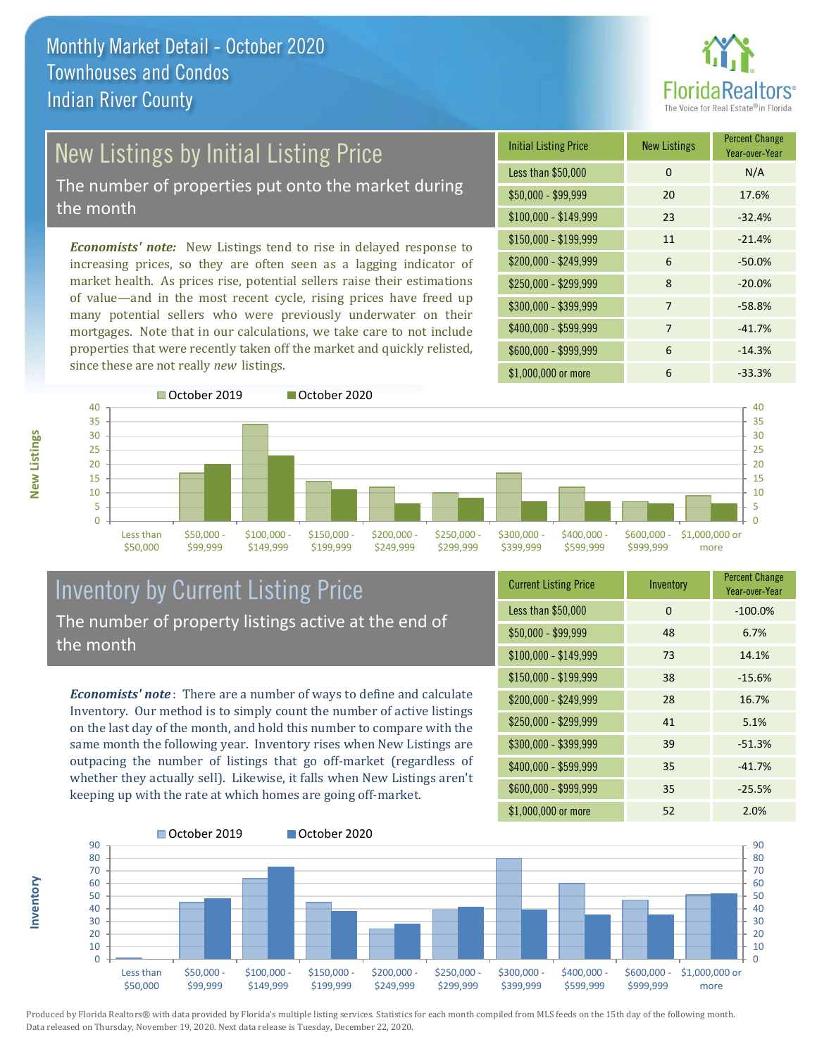

# New Listings by Initial Listing Price

The number of properties put onto the market during the month

*Economists' note:* New Listings tend to rise in delayed response to increasing prices, so they are often seen as a lagging indicator of market health. As prices rise, potential sellers raise their estimations of value—and in the most recent cycle, rising prices have freed up many potential sellers who were previously underwater on their mortgages. Note that in our calculations, we take care to not include properties that were recently taken off the market and quickly relisted, since these are not really *new* listings.

| <b>Initial Listing Price</b> | <b>New Listings</b> | <b>Percent Change</b><br>Year-over-Year |
|------------------------------|---------------------|-----------------------------------------|
| Less than \$50,000           | $\Omega$            | N/A                                     |
| $$50,000 - $99,999$          | 20                  | 17.6%                                   |
| $$100,000 - $149,999$        | 23                  | $-32.4%$                                |
| $$150,000 - $199,999$        | 11                  | $-21.4%$                                |
| \$200,000 - \$249,999        | 6                   | $-50.0%$                                |
| \$250,000 - \$299,999        | 8                   | $-20.0%$                                |
| \$300,000 - \$399,999        | 7                   | $-58.8%$                                |
| \$400,000 - \$599,999        | 7                   | $-41.7%$                                |
| \$600,000 - \$999,999        | 6                   | $-14.3%$                                |
| \$1,000,000 or more          | 6                   | $-33.3%$                                |



### Inventory by Current Listing Price The number of property listings active at the end of the month

*Economists' note* : There are a number of ways to define and calculate Inventory. Our method is to simply count the number of active listings on the last day of the month, and hold this number to compare with the same month the following year. Inventory rises when New Listings are outpacing the number of listings that go off-market (regardless of whether they actually sell). Likewise, it falls when New Listings aren't keeping up with the rate at which homes are going off-market.

| <b>Current Listing Price</b> | Inventory | <b>Percent Change</b><br>Year-over-Year |
|------------------------------|-----------|-----------------------------------------|
| Less than \$50,000           | 0         | $-100.0%$                               |
| $$50,000 - $99,999$          | 48        | 6.7%                                    |
| \$100,000 - \$149,999        | 73        | 14.1%                                   |
| $$150,000 - $199,999$        | 38        | $-15.6%$                                |
| \$200,000 - \$249,999        | 28        | 16.7%                                   |
| \$250,000 - \$299,999        | 41        | 5.1%                                    |
| \$300,000 - \$399,999        | 39        | $-51.3%$                                |
| \$400,000 - \$599,999        | 35        | $-41.7%$                                |
| \$600,000 - \$999,999        | 35        | $-25.5%$                                |
| \$1,000,000 or more          | 52        | 2.0%                                    |



Produced by Florida Realtors® with data provided by Florida's multiple listing services. Statistics for each month compiled from MLS feeds on the 15th day of the following month. Data released on Thursday, November 19, 2020. Next data release is Tuesday, December 22, 2020.

**Inventory**